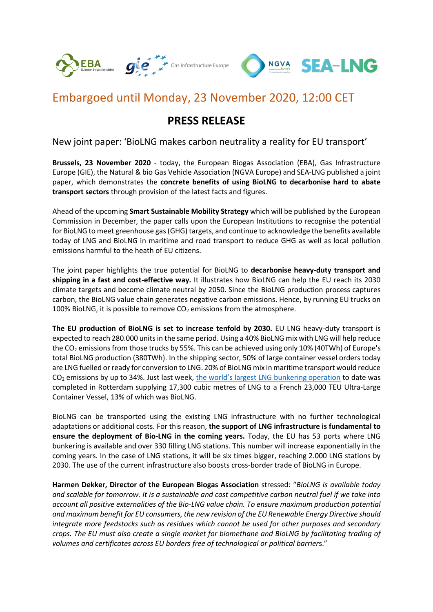

## Embargoed until Monday, 23 November 2020, 12:00 CET

## **PRESS RELEASE**

New joint paper: 'BioLNG makes carbon neutrality a reality for EU transport'

**Brussels, 23 November 2020** - today, the European Biogas Association (EBA), Gas Infrastructure Europe (GIE), the Natural & bio Gas Vehicle Association (NGVA Europe) and SEA-LNG published a joint paper, which demonstrates the **concrete benefits of using BioLNG to decarbonise hard to abate transport sectors** through provision of the latest facts and figures.

Ahead of the upcoming **Smart Sustainable Mobility Strategy** which will be published by the European Commission in December, the paper calls upon the European Institutions to recognise the potential for BioLNG to meet greenhouse gas (GHG) targets, and continue to acknowledge the benefits available today of LNG and BioLNG in maritime and road transport to reduce GHG as well as local pollution emissions harmful to the heath of EU citizens.

The joint paper highlights the true potential for BioLNG to **decarbonise heavy-duty transport and shipping in a fast and cost-effective way.** It illustrates how BioLNG can help the EU reach its 2030 climate targets and become climate neutral by 2050. Since the BioLNG production process captures carbon, the BioLNG value chain generates negative carbon emissions. Hence, by running EU trucks on 100% BioLNG, it is possible to remove  $CO<sub>2</sub>$  emissions from the atmosphere.

**The EU production of BioLNG is set to increase tenfold by 2030.** EU LNG heavy-duty transport is expected to reach 280.000 units in the same period. Using a 40% BioLNG mix with LNG will help reduce the CO<sub>2</sub> emissions from those trucks by 55%. This can be achieved using only 10% (40TWh) of Europe's total BioLNG production (380TWh). In the shipping sector, 50% of large container vessel orders today are LNG fuelled or ready for conversion to LNG. 20% of BioLNG mix in maritime transport would reduce CO<sub>2</sub> emissions by up to 34%. Just last week, [the world's largest LNG bunkering operation](https://www.bioenergy-news.com/news/biomethane-used-in-major-dutch-lng-bunkering-operation/) to date was completed in Rotterdam supplying 17,300 cubic metres of LNG to a French 23,000 TEU Ultra-Large Container Vessel, 13% of which was BioLNG.

BioLNG can be transported using the existing LNG infrastructure with no further technological adaptations or additional costs. For this reason, **the support of LNG infrastructure is fundamental to ensure the deployment of Bio-LNG in the coming years.** Today, the EU has 53 ports where LNG bunkering is available and over 330 filling LNG stations. This number will increase exponentially in the coming years. In the case of LNG stations, it will be six times bigger, reaching 2.000 LNG stations by 2030. The use of the current infrastructure also boosts cross-border trade of BioLNG in Europe.

**Harmen Dekker, Director of the European Biogas Association** stressed: "*BioLNG is available today and scalable for tomorrow. It is a sustainable and cost competitive carbon neutral fuel if we take into account all positive externalities of the Bio-LNG value chain. To ensure maximum production potential and maximum benefit for EU consumers, the new revision of the EU Renewable Energy Directive should integrate more feedstocks such as residues which cannot be used for other purposes and secondary crops. The EU must also create a single market for biomethane and BioLNG by facilitating trading of volumes and certificates across EU borders free of technological or political barrier*s."